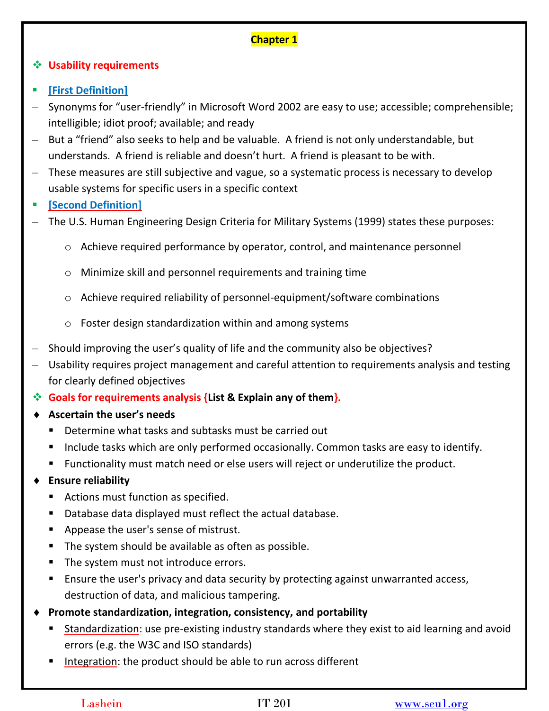# **Chapter 1**

### **Usability requirements**

- **[First Definition]**
- Synonyms for "user-friendly" in Microsoft Word 2002 are easy to use; accessible; comprehensible; intelligible; idiot proof; available; and ready
- But a "friend" also seeks to help and be valuable. A friend is not only understandable, but understands. A friend is reliable and doesn't hurt. A friend is pleasant to be with.
- These measures are still subjective and vague, so a systematic process is necessary to develop usable systems for specific users in a specific context
- **[Second Definition]**
- The U.S. Human Engineering Design Criteria for Military Systems (1999) states these purposes:
	- o Achieve required performance by operator, control, and maintenance personnel
	- o Minimize skill and personnel requirements and training time
	- o Achieve required reliability of personnel-equipment/software combinations
	- o Foster design standardization within and among systems
- Should improving the user's quality of life and the community also be objectives?
- Usability requires project management and careful attention to requirements analysis and testing for clearly defined objectives
- **Goals for requirements analysis {List & Explain any of them}.**
- **Ascertain the user's needs**
	- Determine what tasks and subtasks must be carried out
	- **Include tasks which are only performed occasionally. Common tasks are easy to identify.**
	- Functionality must match need or else users will reject or underutilize the product.
- **Ensure reliability**
	- **Actions must function as specified.**
	- Database data displayed must reflect the actual database.
	- **Appease the user's sense of mistrust.**
	- **The system should be available as often as possible.**
	- The system must not introduce errors.
	- **Ensure the user's privacy and data security by protecting against unwarranted access,** destruction of data, and malicious tampering.
- **Promote standardization, integration, consistency, and portability**
	- Standardization: use pre-existing industry standards where they exist to aid learning and avoid errors (e.g. the W3C and ISO standards)
	- Integration: the product should be able to run across different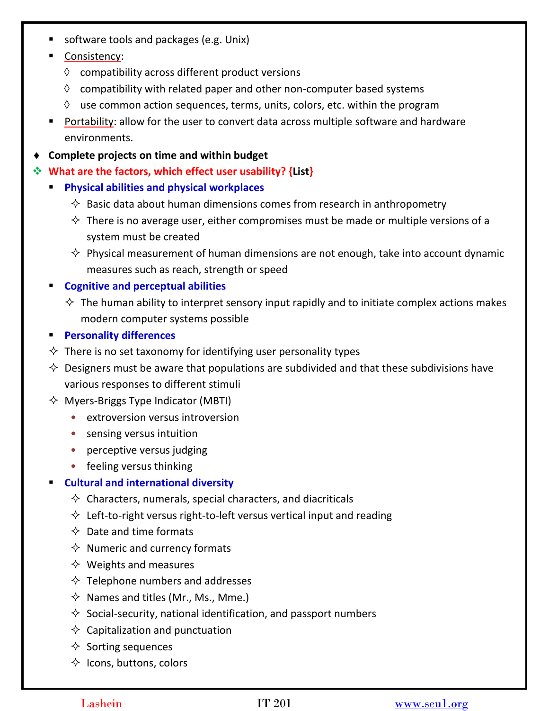- **software tools and packages (e.g. Unix)**
- **Consistency:** 
	- $\Diamond$  compatibility across different product versions
	- $\Diamond$  compatibility with related paper and other non-computer based systems
	- $\Diamond$  use common action sequences, terms, units, colors, etc. within the program
- Portability: allow for the user to convert data across multiple software and hardware environments.
- **Complete projects on time and within budget**
- **What are the factors, which effect user usability? {List}**
	- **Physical abilities and physical workplaces** 
		- $\Diamond$  Basic data about human dimensions comes from research in anthropometry
		- $\diamond$  There is no average user, either compromises must be made or multiple versions of a system must be created
		- $\diamond$  Physical measurement of human dimensions are not enough, take into account dynamic measures such as reach, strength or speed
	- **Cognitive and perceptual abilities** 
		- $\Diamond$  The human ability to interpret sensory input rapidly and to initiate complex actions makes modern computer systems possible
	- **Personality differences**
	- $\Diamond$  There is no set taxonomy for identifying user personality types
	- $\Diamond$  Designers must be aware that populations are subdivided and that these subdivisions have various responses to different stimuli
	- $\Diamond$  Myers-Briggs Type Indicator (MBTI)
		- extroversion versus introversion
		- sensing versus intuition
		- perceptive versus judging
		- feeling versus thinking

### **Cultural and international diversity**

- $\Diamond$  Characters, numerals, special characters, and diacriticals
- $\Diamond$  Left-to-right versus right-to-left versus vertical input and reading
- $\Diamond$  Date and time formats
- $\Diamond$  Numeric and currency formats
- $\diamondsuit$  Weights and measures
- $\Diamond$  Telephone numbers and addresses
- $\Diamond$  Names and titles (Mr., Ms., Mme.)
- $\Diamond$  Social-security, national identification, and passport numbers
- $\diamondsuit$  Capitalization and punctuation
- $\diamond$  Sorting sequences
- $\Diamond$  Icons, buttons, colors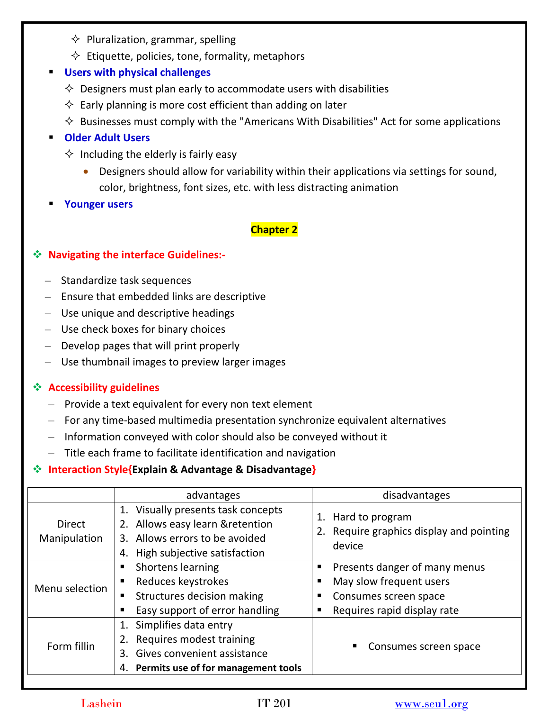- $\Diamond$  Pluralization, grammar, spelling
- $\Diamond$  Etiquette, policies, tone, formality, metaphors

### **Users with physical challenges**

- $\Diamond$  Designers must plan early to accommodate users with disabilities
- $\Diamond$  Early planning is more cost efficient than adding on later
- $\Diamond$  Businesses must comply with the "Americans With Disabilities" Act for some applications

### **Older Adult Users**

- $\Diamond$  Including the elderly is fairly easy
	- Designers should allow for variability within their applications via settings for sound, color, brightness, font sizes, etc. with less distracting animation
- **Younger users**

## **Chapter 2**

### **Navigating the interface Guidelines:-**

- Standardize task sequences
- Ensure that embedded links are descriptive
- Use unique and descriptive headings
- Use check boxes for binary choices
- Develop pages that will print properly
- Use thumbnail images to preview larger images

### **Accessibility guidelines**

- Provide a text equivalent for every non text element
- For any time-based multimedia presentation synchronize equivalent alternatives
- Information conveyed with color should also be conveyed without it
- Title each frame to facilitate identification and navigation

### **Interaction Style{Explain & Advantage & Disadvantage}**

|                               | advantages                                                                                                                                     | disadvantages                                                                                                         |
|-------------------------------|------------------------------------------------------------------------------------------------------------------------------------------------|-----------------------------------------------------------------------------------------------------------------------|
| <b>Direct</b><br>Manipulation | Visually presents task concepts<br>2. Allows easy learn & retention<br>Allows errors to be avoided<br>3.<br>High subjective satisfaction<br>4. | Hard to program<br>1.<br>2. Require graphics display and pointing<br>device                                           |
| Menu selection                | Shortens learning<br>п<br>Reduces keystrokes<br>п<br>Structures decision making<br>п<br>Easy support of error handling                         | Presents danger of many menus<br>п<br>May slow frequent users<br>Consumes screen space<br>Requires rapid display rate |
| Form fillin                   | Simplifies data entry<br>Requires modest training<br>Gives convenient assistance<br>3<br>Permits use of for management tools<br>4.             | Consumes screen space                                                                                                 |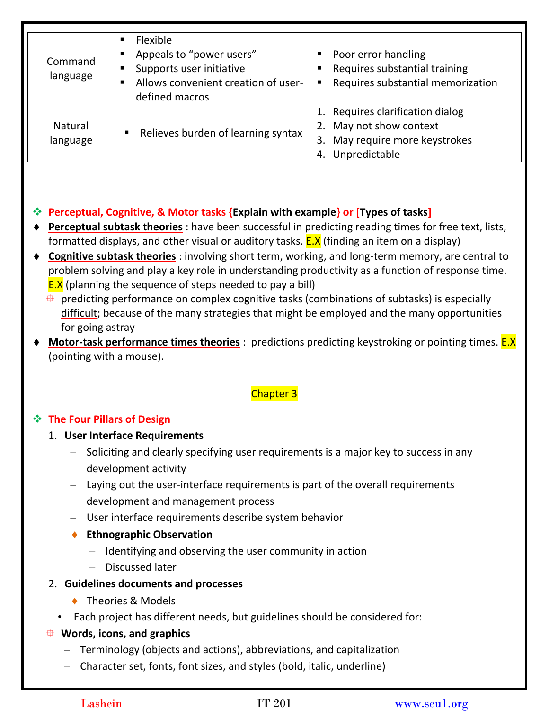| Command<br>language        | <b>Flexible</b><br>■<br>Appeals to "power users"<br>Supports user initiative<br>Allows convenient creation of user-<br>defined macros | Poor error handling<br>Requires substantial training<br>Requires substantial memorization<br>٠                             |
|----------------------------|---------------------------------------------------------------------------------------------------------------------------------------|----------------------------------------------------------------------------------------------------------------------------|
| <b>Natural</b><br>language | Relieves burden of learning syntax<br>$\blacksquare$                                                                                  | 1. Requires clarification dialog<br>May not show context<br>2.<br>May require more keystrokes<br>3.<br>Unpredictable<br>4. |

# **Perceptual, Cognitive, & Motor tasks {Explain with example} or [Types of tasks]**

- **Perceptual subtask theories** : have been successful in predicting reading times for free text, lists, formatted displays, and other visual or auditory tasks.  $E.X$  (finding an item on a display)
- **Cognitive subtask theories** : involving short term, working, and long-term memory, are central to problem solving and play a key role in understanding productivity as a function of response time. **E.X** (planning the sequence of steps needed to pay a bill)
	- $\overline{\Phi}$  predicting performance on complex cognitive tasks (combinations of subtasks) is especially difficult; because of the many strategies that might be employed and the many opportunities for going astray
- **Motor-task performance times theories** : predictions predicting keystroking or pointing times. **E.X** (pointing with a mouse).

## Chapter 3

### **The Four Pillars of Design**

### 1. **User Interface Requirements**

- Soliciting and clearly specifying user requirements is a major key to success in any development activity
- Laying out the user-interface requirements is part of the overall requirements development and management process
- User interface requirements describe system behavior
- **Ethnographic Observation**
	- Identifying and observing the user community in action
	- Discussed later
- 2. **Guidelines documents and processes**
	- ◆ Theories & Models
	- Each project has different needs, but guidelines should be considered for:
- **Words, icons, and graphics**
	- Terminology (objects and actions), abbreviations, and capitalization
	- Character set, fonts, font sizes, and styles (bold, italic, underline)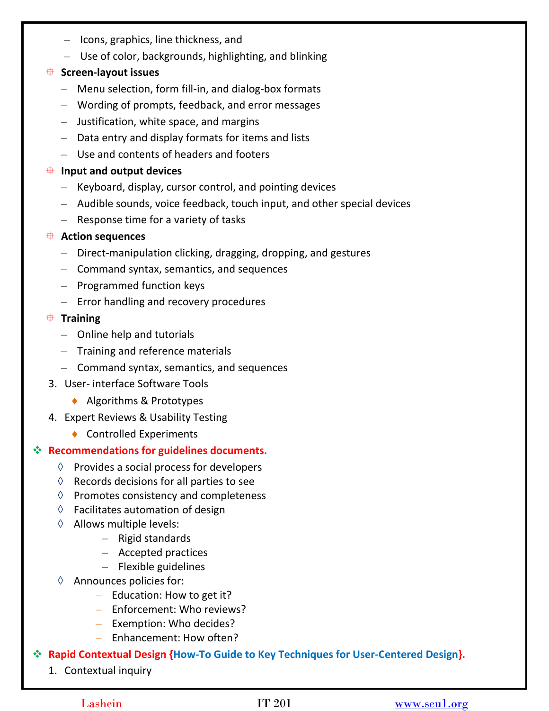- Icons, graphics, line thickness, and
- Use of color, backgrounds, highlighting, and blinking

### **Screen-layout issues**

- Menu selection, form fill-in, and dialog-box formats
- Wording of prompts, feedback, and error messages
- Justification, white space, and margins
- Data entry and display formats for items and lists
- Use and contents of headers and footers

### **Input and output devices**

- Keyboard, display, cursor control, and pointing devices
- Audible sounds, voice feedback, touch input, and other special devices
- Response time for a variety of tasks

### **Action sequences**

- Direct-manipulation clicking, dragging, dropping, and gestures
- Command syntax, semantics, and sequences
- Programmed function keys
- Error handling and recovery procedures

### **Training**

- Online help and tutorials
- Training and reference materials
- Command syntax, semantics, and sequences
- 3. User- interface Software Tools
	- ◆ Algorithms & Prototypes
- 4. Expert Reviews & Usability Testing
	- ◆ Controlled Experiments

## **Recommendations for guidelines documents.**

- $\Diamond$  Provides a social process for developers
- $\Diamond$  Records decisions for all parties to see
- ◊ Promotes consistency and completeness
- $\Diamond$  Facilitates automation of design
- ◊ Allows multiple levels:
	- Rigid standards
	- Accepted practices
	- Flexible guidelines
- ◊ Announces policies for:
	- Education: How to get it?
	- Enforcement: Who reviews?
	- Exemption: Who decides?
	- Enhancement: How often?

## **Rapid Contextual Design {How-To Guide to Key Techniques for User-Centered Design}.**

1. Contextual inquiry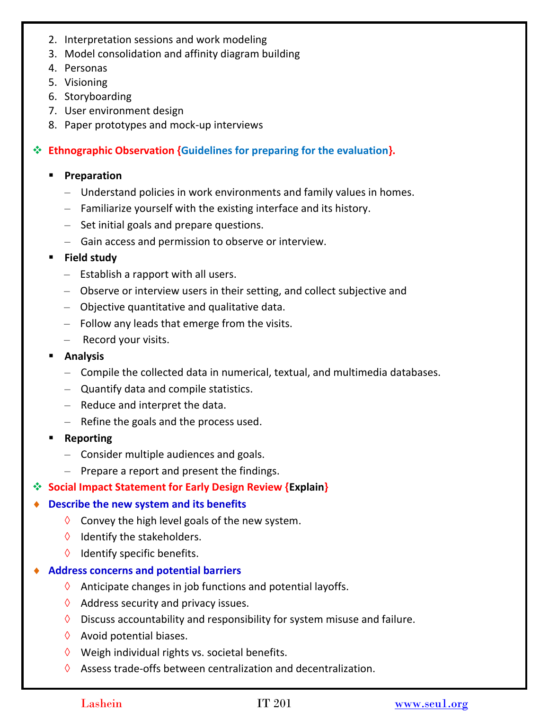- 2. Interpretation sessions and work modeling
- 3. Model consolidation and affinity diagram building
- 4. Personas
- 5. Visioning
- 6. Storyboarding
- 7. User environment design
- 8. Paper prototypes and mock-up interviews

### **Ethnographic Observation {Guidelines for preparing for the evaluation}.**

### **Preparation**

- Understand policies in work environments and family values in homes.
- Familiarize yourself with the existing interface and its history.
- Set initial goals and prepare questions.
- Gain access and permission to observe or interview.

### **Field study**

- Establish a rapport with all users.
- Observe or interview users in their setting, and collect subjective and
- Objective quantitative and qualitative data.
- Follow any leads that emerge from the visits.
- Record your visits.
- **Analysis**
	- Compile the collected data in numerical, textual, and multimedia databases.
	- Quantify data and compile statistics.
	- Reduce and interpret the data.
	- Refine the goals and the process used.
- **Reporting**
	- Consider multiple audiences and goals.
	- Prepare a report and present the findings.
- **<b>Social Impact Statement for Early Design Review {Explain}**

### **Describe the new system and its benefits**

- $\Diamond$  Convey the high level goals of the new system.
- $\Diamond$  Identify the stakeholders.
- ◊ Identify specific benefits.

### **Address concerns and potential barriers**

- $\Diamond$  Anticipate changes in job functions and potential layoffs.
- $\Diamond$  Address security and privacy issues.
- $\Diamond$  Discuss accountability and responsibility for system misuse and failure.
- $\Diamond$  Avoid potential biases.
- $\Diamond$  Weigh individual rights vs. societal benefits.
- $\Diamond$  Assess trade-offs between centralization and decentralization.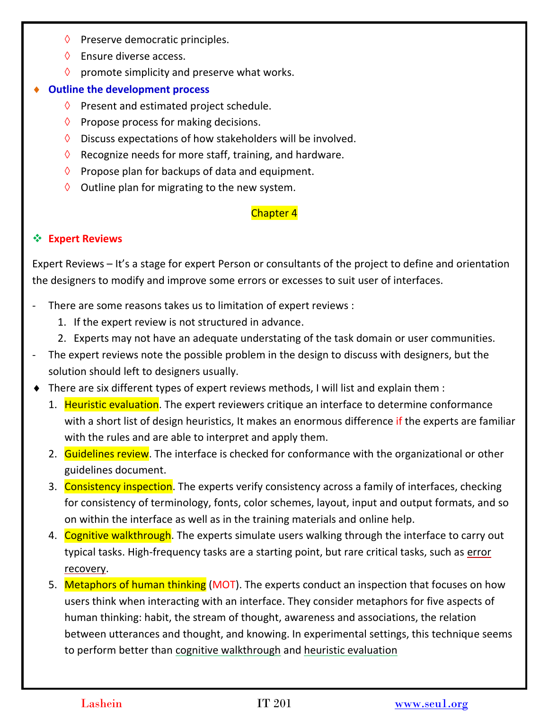- ◊ Preserve democratic principles.
- $\Diamond$  Ensure diverse access.
- $\Diamond$  promote simplicity and preserve what works.

### **Outline the development process**

- $\Diamond$  Present and estimated project schedule.
- $\Diamond$  Propose process for making decisions.
- $\Diamond$  Discuss expectations of how stakeholders will be involved.
- $\Diamond$  Recognize needs for more staff, training, and hardware.
- $\Diamond$  Propose plan for backups of data and equipment.
- $\Diamond$  Outline plan for migrating to the new system.

## Chapter 4

## **Expert Reviews**

Expert Reviews – It's a stage for expert Person or consultants of the project to define and orientation the designers to modify and improve some errors or excesses to suit user of interfaces.

- There are some reasons takes us to limitation of expert reviews :
	- 1. If the expert review is not structured in advance.
	- 2. Experts may not have an adequate understating of the task domain or user communities.
- The expert reviews note the possible problem in the design to discuss with designers, but the solution should left to designers usually.
- There are six different types of expert reviews methods, I will list and explain them :
	- 1. Heuristic evaluation. The expert reviewers critique an interface to determine conformance with a short list of design heuristics, It makes an enormous difference if the experts are familiar with the rules and are able to interpret and apply them.
	- 2. Guidelines review. The interface is checked for conformance with the organizational or other guidelines document.
	- 3. Consistency inspection. The experts verify consistency across a family of interfaces, checking for consistency of terminology, fonts, color schemes, layout, input and output formats, and so on within the interface as well as in the training materials and online help.
	- 4. Cognitive walkthrough. The experts simulate users walking through the interface to carry out typical tasks. High-frequency tasks are a starting point, but rare critical tasks, such as error recovery.
	- 5. Metaphors of human thinking (MOT). The experts conduct an inspection that focuses on how users think when interacting with an interface. They consider metaphors for five aspects of human thinking: habit, the stream of thought, awareness and associations, the relation between utterances and thought, and knowing. In experimental settings, this technique seems to perform better than cognitive walkthrough and heuristic evaluation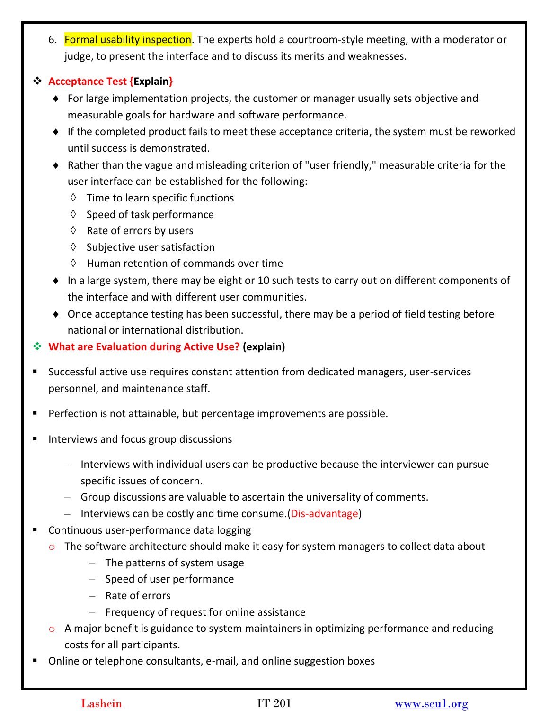6. Formal usability inspection. The experts hold a courtroom-style meeting, with a moderator or judge, to present the interface and to discuss its merits and weaknesses.

### **Acceptance Test {Explain}**

- For large implementation projects, the customer or manager usually sets objective and measurable goals for hardware and software performance.
- If the completed product fails to meet these acceptance criteria, the system must be reworked until success is demonstrated.
- Rather than the vague and misleading criterion of "user friendly," measurable criteria for the user interface can be established for the following:
	- ◊ Time to learn specific functions
	- ◊ Speed of task performance
	- $\Diamond$  Rate of errors by users
	- ◊ Subjective user satisfaction
	- ◊ Human retention of commands over time
- In a large system, there may be eight or 10 such tests to carry out on different components of the interface and with different user communities.
- ◆ Once acceptance testing has been successful, there may be a period of field testing before national or international distribution.

# **What are Evaluation during Active Use? (explain)**

- Successful active use requires constant attention from dedicated managers, user-services personnel, and maintenance staff.
- **Perfection is not attainable, but percentage improvements are possible.**
- **Interviews and focus group discussions** 
	- Interviews with individual users can be productive because the interviewer can pursue specific issues of concern.
	- Group discussions are valuable to ascertain the universality of comments.
	- Interviews can be costly and time consume.(Dis-advantage)
- Continuous user-performance data logging
	- o The software architecture should make it easy for system managers to collect data about
		- The patterns of system usage
		- Speed of user performance
		- Rate of errors
		- Frequency of request for online assistance
	- $\circ$  A major benefit is guidance to system maintainers in optimizing performance and reducing costs for all participants.
- Online or telephone consultants, e-mail, and online suggestion boxes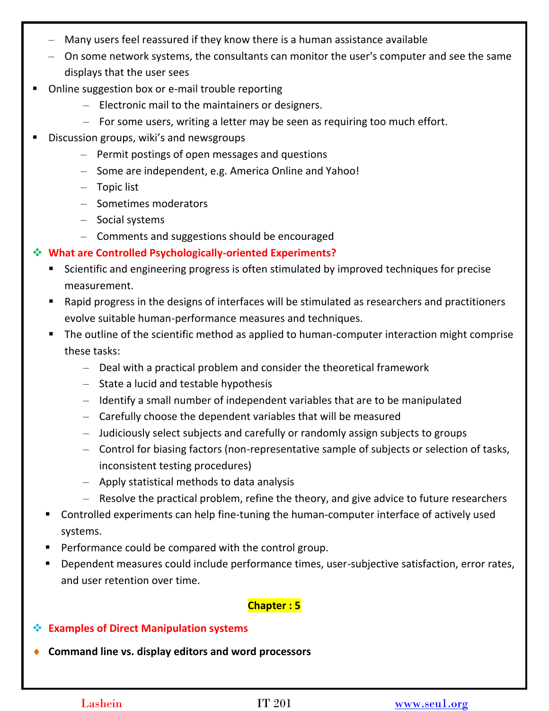- Many users feel reassured if they know there is a human assistance available
- On some network systems, the consultants can monitor the user's computer and see the same displays that the user sees
- Online suggestion box or e-mail trouble reporting
	- Electronic mail to the maintainers or designers.
	- For some users, writing a letter may be seen as requiring too much effort.
- Discussion groups, wiki's and newsgroups
	- Permit postings of open messages and questions
	- Some are independent, e.g. America Online and Yahoo!
	- Topic list
	- Sometimes moderators
	- Social systems
	- Comments and suggestions should be encouraged
- **What are Controlled Psychologically-oriented Experiments?**
	- Scientific and engineering progress is often stimulated by improved techniques for precise measurement.
	- Rapid progress in the designs of interfaces will be stimulated as researchers and practitioners evolve suitable human-performance measures and techniques.
	- The outline of the scientific method as applied to human-computer interaction might comprise these tasks:
		- Deal with a practical problem and consider the theoretical framework
		- State a lucid and testable hypothesis
		- Identify a small number of independent variables that are to be manipulated
		- Carefully choose the dependent variables that will be measured
		- Judiciously select subjects and carefully or randomly assign subjects to groups
		- Control for biasing factors (non-representative sample of subjects or selection of tasks, inconsistent testing procedures)
		- Apply statistical methods to data analysis
		- Resolve the practical problem, refine the theory, and give advice to future researchers
	- Controlled experiments can help fine-tuning the human-computer interface of actively used systems.
	- **Performance could be compared with the control group.**
	- Dependent measures could include performance times, user-subjective satisfaction, error rates, and user retention over time.

## **Chapter : 5**

- **Examples of Direct Manipulation systems**
- **Command line vs. display editors and word processors**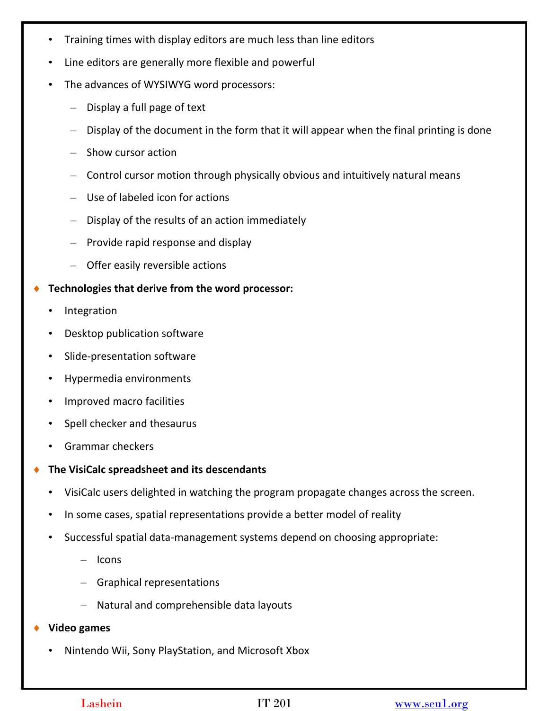- Training times with display editors are much less than line editors
- Line editors are generally more flexible and powerful
- The advances of WYSIWYG word processors:
	- Display a full page of text
	- Display of the document in the form that it will appear when the final printing is done
	- Show cursor action
	- Control cursor motion through physically obvious and intuitively natural means
	- Use of labeled icon for actions
	- Display of the results of an action immediately
	- Provide rapid response and display
	- Offer easily reversible actions
- **Technologies that derive from the word processor:**
	- **Integration**
	- Desktop publication software
	- Slide-presentation software
	- Hypermedia environments
	- Improved macro facilities
	- Spell checker and thesaurus
	- Grammar checkers
- **The VisiCalc spreadsheet and its descendants**
	- VisiCalc users delighted in watching the program propagate changes across the screen.
	- In some cases, spatial representations provide a better model of reality
	- Successful spatial data-management systems depend on choosing appropriate:
		- Icons
		- Graphical representations
		- Natural and comprehensible data layouts
- **Video games** 
	- Nintendo Wii, Sony PlayStation, and Microsoft Xbox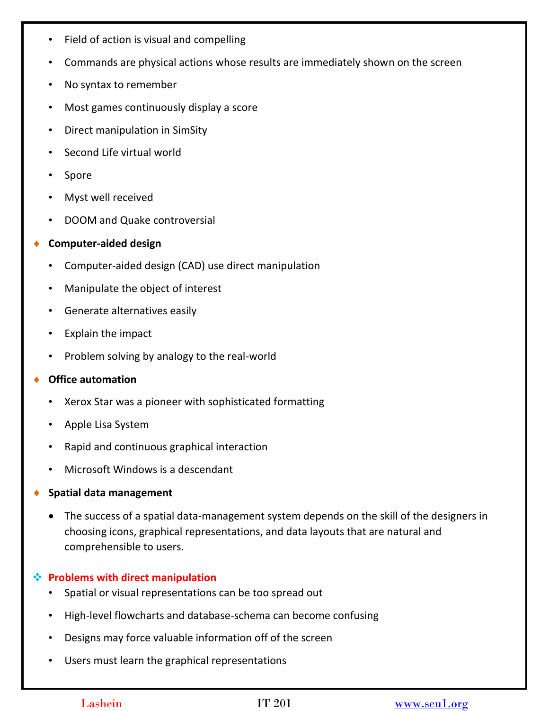- Field of action is visual and compelling
- Commands are physical actions whose results are immediately shown on the screen
- No syntax to remember
- Most games continuously display a score
- Direct manipulation in SimSity
- Second Life virtual world
- **Spore**
- Myst well received
- DOOM and Quake controversial

#### **Computer-aided design**

- Computer-aided design (CAD) use direct manipulation
- Manipulate the object of interest
- Generate alternatives easily
- Explain the impact
- Problem solving by analogy to the real-world

#### **Office automation**

- Xerox Star was a pioneer with sophisticated formatting
- Apple Lisa System
- Rapid and continuous graphical interaction
- Microsoft Windows is a descendant
- **Spatial data management**
	- The success of a spatial data-management system depends on the skill of the designers in choosing icons, graphical representations, and data layouts that are natural and comprehensible to users.

### **Problems with direct manipulation**

- Spatial or visual representations can be too spread out
- High-level flowcharts and database-schema can become confusing
- Designs may force valuable information off of the screen
- Users must learn the graphical representations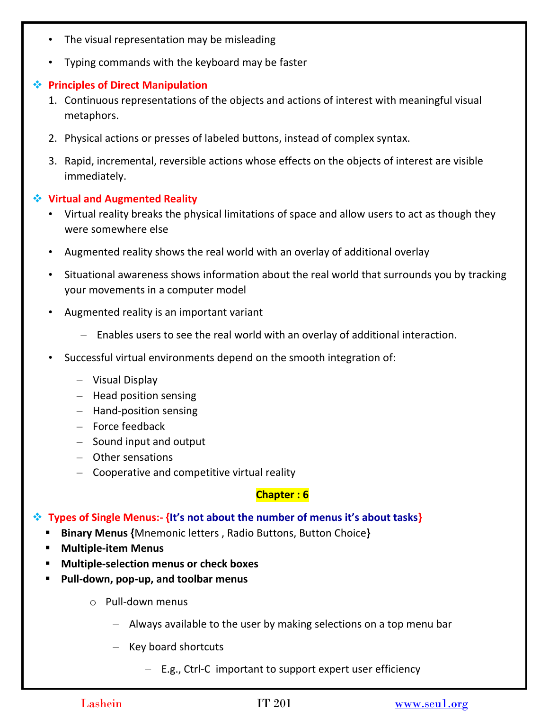- The visual representation may be misleading
- Typing commands with the keyboard may be faster

### **Principles of Direct Manipulation**

- 1. Continuous representations of the objects and actions of interest with meaningful visual metaphors.
- 2. Physical actions or presses of labeled buttons, instead of complex syntax.
- 3. Rapid, incremental, reversible actions whose effects on the objects of interest are visible immediately.

### **Virtual and Augmented Reality**

- Virtual reality breaks the physical limitations of space and allow users to act as though they were somewhere else
- Augmented reality shows the real world with an overlay of additional overlay
- Situational awareness shows information about the real world that surrounds you by tracking your movements in a computer model
- Augmented reality is an important variant
	- Enables users to see the real world with an overlay of additional interaction.
- Successful virtual environments depend on the smooth integration of:
	- Visual Display
	- Head position sensing
	- Hand-position sensing
	- Force feedback
	- Sound input and output
	- Other sensations
	- Cooperative and competitive virtual reality

## **Chapter : 6**

## **Types of Single Menus:- {It's not about the number of menus it's about tasks}**

- **Binary Menus {**Mnemonic letters , Radio Buttons, Button Choice**}**
- **Multiple-item Menus**
- **Multiple-selection menus or check boxes**
- **Pull-down, pop-up, and toolbar menus**
	- o Pull-down menus
		- Always available to the user by making selections on a top menu bar
		- Key board shortcuts
			- E.g., Ctrl-C important to support expert user efficiency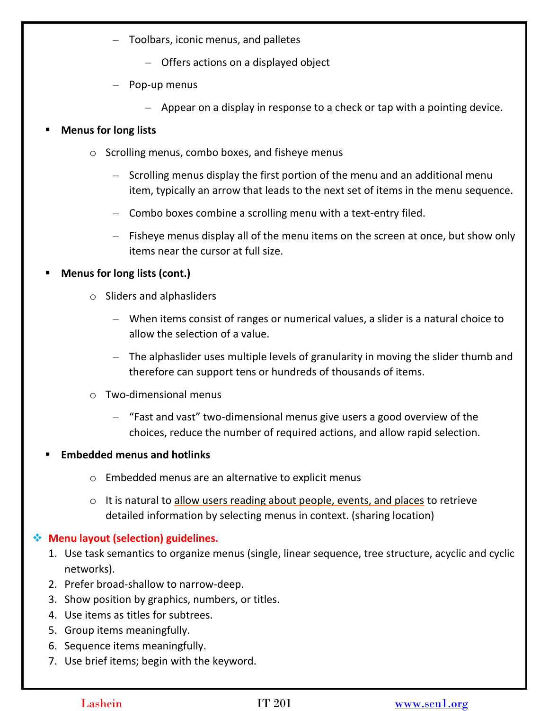- Toolbars, iconic menus, and palletes
	- Offers actions on a displayed object
- Pop-up menus
	- Appear on a display in response to a check or tap with a pointing device.

### **Menus for long lists**

- o Scrolling menus, combo boxes, and fisheye menus
	- Scrolling menus display the first portion of the menu and an additional menu item, typically an arrow that leads to the next set of items in the menu sequence.
	- Combo boxes combine a scrolling menu with a text-entry filed.
	- Fisheye menus display all of the menu items on the screen at once, but show only items near the cursor at full size.

### **Menus for long lists (cont.)**

- o Sliders and alphasliders
	- When items consist of ranges or numerical values, a slider is a natural choice to allow the selection of a value.
	- The alphaslider uses multiple levels of granularity in moving the slider thumb and therefore can support tens or hundreds of thousands of items.
- o Two-dimensional menus
	- "Fast and vast" two-dimensional menus give users a good overview of the choices, reduce the number of required actions, and allow rapid selection.

### **Embedded menus and hotlinks**

- o Embedded menus are an alternative to explicit menus
- o It is natural to allow users reading about people, events, and places to retrieve detailed information by selecting menus in context. (sharing location)

## **Menu layout (selection) guidelines.**

- 1. Use task semantics to organize menus (single, linear sequence, tree structure, acyclic and cyclic networks).
- 2. Prefer broad-shallow to narrow-deep.
- 3. Show position by graphics, numbers, or titles.
- 4. Use items as titles for subtrees.
- 5. Group items meaningfully.
- 6. Sequence items meaningfully.
- 7. Use brief items; begin with the keyword.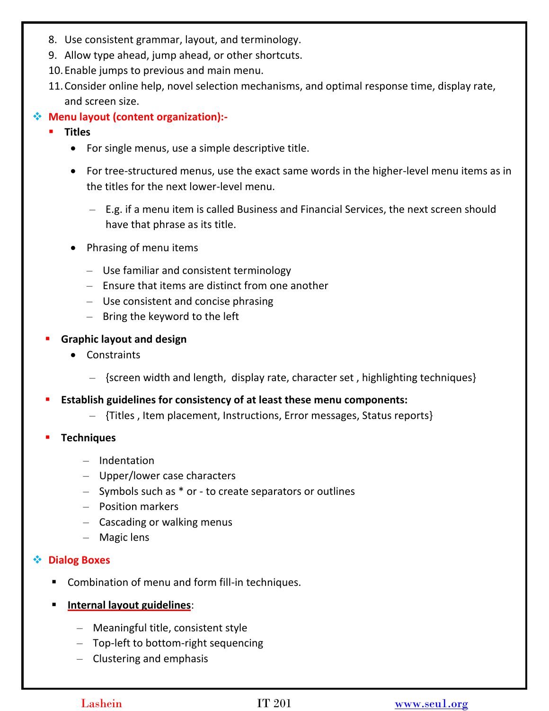- 8. Use consistent grammar, layout, and terminology.
- 9. Allow type ahead, jump ahead, or other shortcuts.
- 10.Enable jumps to previous and main menu.
- 11.Consider online help, novel selection mechanisms, and optimal response time, display rate, and screen size.

## **Menu layout (content organization):-**

- **Titles**
	- For single menus, use a simple descriptive title.
	- For tree-structured menus, use the exact same words in the higher-level menu items as in the titles for the next lower-level menu.
		- E.g. if a menu item is called Business and Financial Services, the next screen should have that phrase as its title.
	- Phrasing of menu items
		- Use familiar and consistent terminology
		- Ensure that items are distinct from one another
		- Use consistent and concise phrasing
		- Bring the keyword to the left
- **Graphic layout and design**
	- Constraints
		- {screen width and length, display rate, character set , highlighting techniques}
- **Establish guidelines for consistency of at least these menu components:**
	- {Titles , Item placement, Instructions, Error messages, Status reports}
- **Techniques** 
	- Indentation
	- Upper/lower case characters
	- Symbols such as \* or to create separators or outlines
	- Position markers
	- Cascading or walking menus
	- Magic lens

### **Dialog Boxes**

- Combination of menu and form fill-in techniques.
- **Internal layout guidelines:** 
	- Meaningful title, consistent style
	- Top-left to bottom-right sequencing
	- Clustering and emphasis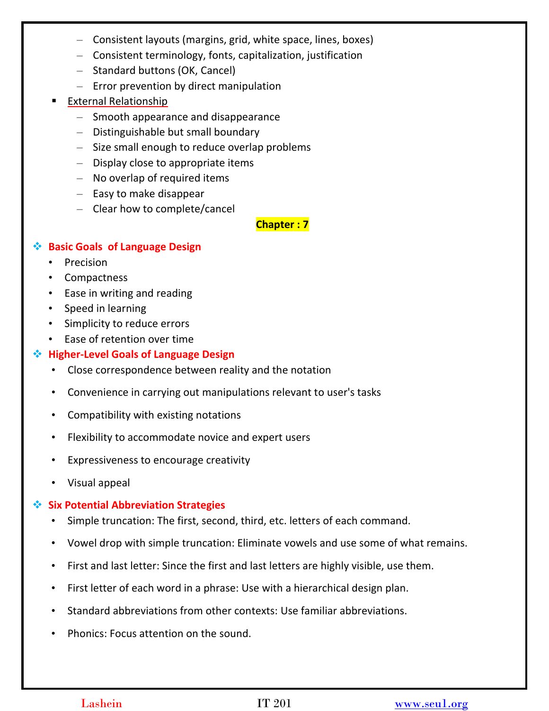- Consistent layouts (margins, grid, white space, lines, boxes)
- Consistent terminology, fonts, capitalization, justification
- Standard buttons (OK, Cancel)
- Error prevention by direct manipulation
- External Relationship
	- Smooth appearance and disappearance
	- Distinguishable but small boundary
	- Size small enough to reduce overlap problems
	- Display close to appropriate items
	- No overlap of required items
	- Easy to make disappear
	- Clear how to complete/cancel

**Chapter : 7**

### **Basic Goals of Language Design**

- **Precision**
- Compactness
- Ease in writing and reading
- Speed in learning
- Simplicity to reduce errors
- Ease of retention over time

## **Higher-Level Goals of Language Design**

- Close correspondence between reality and the notation
- Convenience in carrying out manipulations relevant to user's tasks
- Compatibility with existing notations
- Flexibility to accommodate novice and expert users
- Expressiveness to encourage creativity
- Visual appeal

## **Six Potential Abbreviation Strategies**

- Simple truncation: The first, second, third, etc. letters of each command.
- Vowel drop with simple truncation: Eliminate vowels and use some of what remains.
- First and last letter: Since the first and last letters are highly visible, use them.
- First letter of each word in a phrase: Use with a hierarchical design plan.
- Standard abbreviations from other contexts: Use familiar abbreviations.
- Phonics: Focus attention on the sound.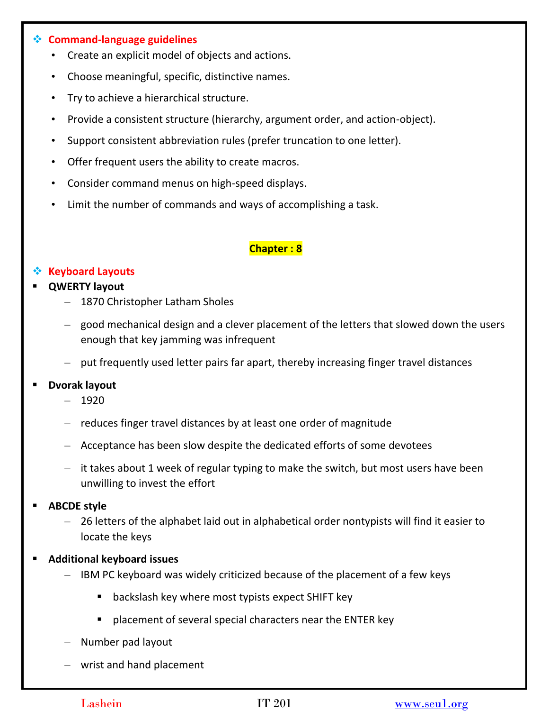#### **Command-language guidelines**

- Create an explicit model of objects and actions.
- Choose meaningful, specific, distinctive names.
- Try to achieve a hierarchical structure.
- Provide a consistent structure (hierarchy, argument order, and action-object).
- Support consistent abbreviation rules (prefer truncation to one letter).
- Offer frequent users the ability to create macros.
- Consider command menus on high-speed displays.
- Limit the number of commands and ways of accomplishing a task.

#### **Chapter : 8**

### **Keyboard Layouts**

#### **QWERTY layout**

- 1870 Christopher Latham Sholes
- good mechanical design and a clever placement of the letters that slowed down the users enough that key jamming was infrequent
- put frequently used letter pairs far apart, thereby increasing finger travel distances

#### **Dvorak layout**

- 1920
- reduces finger travel distances by at least one order of magnitude
- Acceptance has been slow despite the dedicated efforts of some devotees
- it takes about 1 week of regular typing to make the switch, but most users have been unwilling to invest the effort

#### **ABCDE style**

- 26 letters of the alphabet laid out in alphabetical order nontypists will find it easier to locate the keys
- **Additional keyboard issues**
	- IBM PC keyboard was widely criticized because of the placement of a few keys
		- **B** backslash key where most typists expect SHIFT key
		- **Perment of several special characters near the ENTER key**
	- Number pad layout
	- wrist and hand placement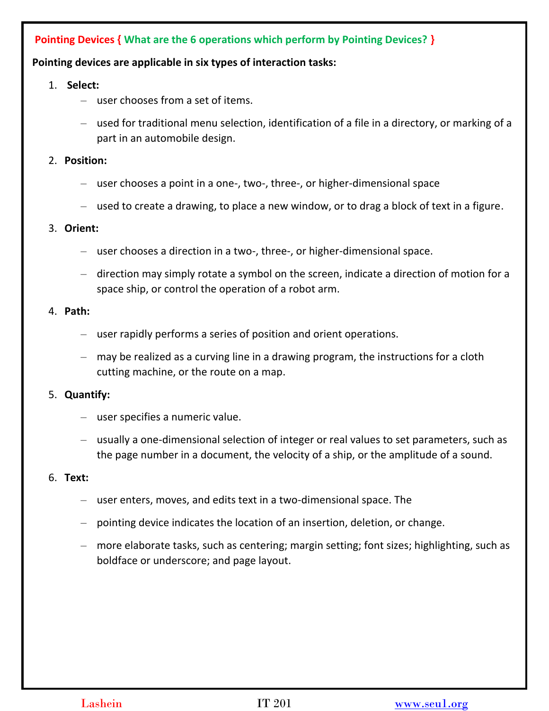# **Pointing Devices { What are the 6 operations which perform by Pointing Devices? }**

#### **Pointing devices are applicable in six types of interaction tasks:**

- 1. **Select:** 
	- user chooses from a set of items.
	- used for traditional menu selection, identification of a file in a directory, or marking of a part in an automobile design.
- 2. **Position:** 
	- user chooses a point in a one-, two-, three-, or higher-dimensional space
	- used to create a drawing, to place a new window, or to drag a block of text in a figure.

#### 3. **Orient:**

- user chooses a direction in a two-, three-, or higher-dimensional space.
- direction may simply rotate a symbol on the screen, indicate a direction of motion for a space ship, or control the operation of a robot arm.

#### 4. **Path:**

- user rapidly performs a series of position and orient operations.
- may be realized as a curving line in a drawing program, the instructions for a cloth cutting machine, or the route on a map.

#### 5. **Quantify:**

- user specifies a numeric value.
- usually a one-dimensional selection of integer or real values to set parameters, such as the page number in a document, the velocity of a ship, or the amplitude of a sound.

#### 6. **Text:**

- user enters, moves, and edits text in a two-dimensional space. The
- pointing device indicates the location of an insertion, deletion, or change.
- more elaborate tasks, such as centering; margin setting; font sizes; highlighting, such as boldface or underscore; and page layout.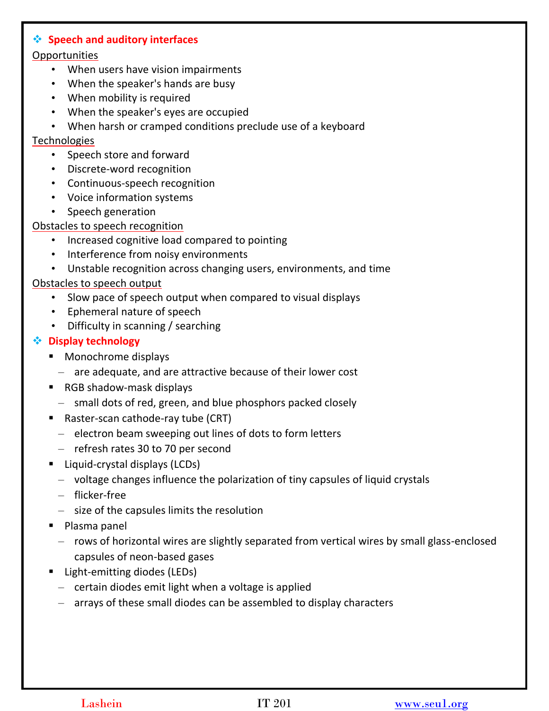#### **Speech and auditory interfaces**

#### **Opportunities**

- When users have vision impairments
- When the speaker's hands are busy
- When mobility is required
- When the speaker's eyes are occupied
- When harsh or cramped conditions preclude use of a keyboard

#### **Technologies**

- Speech store and forward
- Discrete-word recognition
- Continuous-speech recognition
- Voice information systems
- Speech generation

#### Obstacles to speech recognition

- Increased cognitive load compared to pointing
- Interference from noisy environments
- Unstable recognition across changing users, environments, and time

#### Obstacles to speech output

- Slow pace of speech output when compared to visual displays
- Ephemeral nature of speech
- Difficulty in scanning / searching

### **Display technology**

- Monochrome displays
	- are adequate, and are attractive because of their lower cost
- RGB shadow-mask displays
	- small dots of red, green, and blue phosphors packed closely
- Raster-scan cathode-ray tube (CRT)
	- electron beam sweeping out lines of dots to form letters
	- refresh rates 30 to 70 per second
- Liquid-crystal displays (LCDs)
	- voltage changes influence the polarization of tiny capsules of liquid crystals
	- flicker-free
	- size of the capsules limits the resolution
- **Plasma panel** 
	- rows of horizontal wires are slightly separated from vertical wires by small glass-enclosed capsules of neon-based gases
- Light-emitting diodes (LEDs)
	- certain diodes emit light when a voltage is applied
	- arrays of these small diodes can be assembled to display characters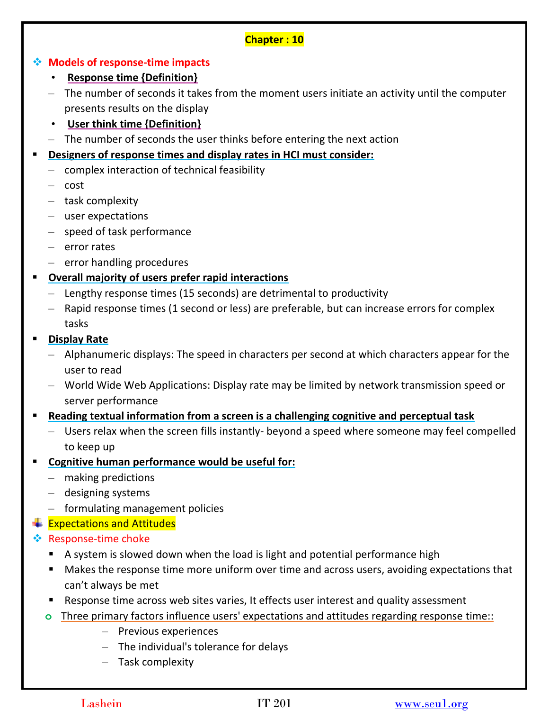### **Chapter : 10**

### **Models of response-time impacts**

- **Response time {Definition}**
- The number of seconds it takes from the moment users initiate an activity until the computer presents results on the display
- **User think time {Definition}**
- The number of seconds the user thinks before entering the next action
- **Designers of response times and display rates in HCI must consider:**
	- complex interaction of technical feasibility
	- cost
	- task complexity
	- user expectations
	- speed of task performance
	- error rates
	- error handling procedures
- **Overall majority of users prefer rapid interactions**
	- Lengthy response times (15 seconds) are detrimental to productivity
	- Rapid response times (1 second or less) are preferable, but can increase errors for complex tasks
- **Display Rate**
	- Alphanumeric displays: The speed in characters per second at which characters appear for the user to read
	- World Wide Web Applications: Display rate may be limited by network transmission speed or server performance
- **Reading textual information from a screen is a challenging cognitive and perceptual task**
	- Users relax when the screen fills instantly- beyond a speed where someone may feel compelled to keep up
- **Cognitive human performance would be useful for:**
	- making predictions
	- designing systems
	- formulating management policies
- $\textcolor{red}{\bigstar}$  Expectations and Attitudes
- **EXEC** Response-time choke
	- A system is slowed down when the load is light and potential performance high
	- Makes the response time more uniform over time and across users, avoiding expectations that can't always be met
	- Response time across web sites varies, It effects user interest and quality assessment
	- **o** Three primary factors influence users' expectations and attitudes regarding response time::
		- Previous experiences
		- The individual's tolerance for delays
		- Task complexity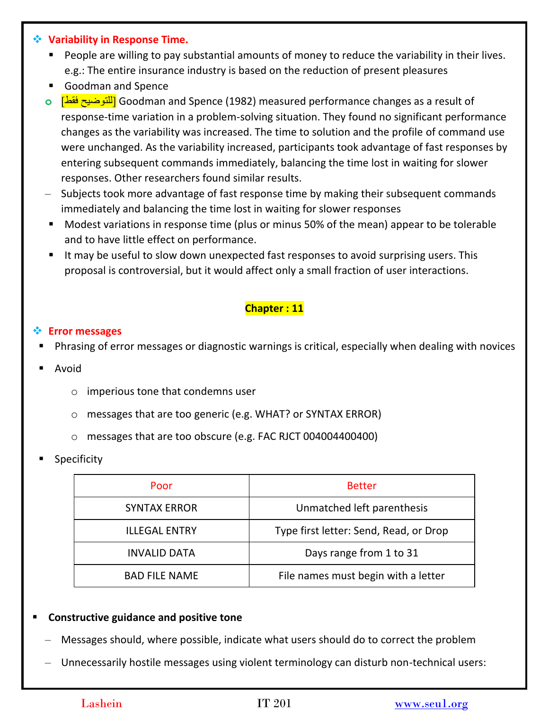#### **Variability in Response Time.**

- **People are willing to pay substantial amounts of money to reduce the variability in their lives.** e.g.: The entire insurance industry is based on the reduction of present pleasures
- Goodman and Spence
- **o** ]فقط للتوضيح ]Goodman and Spence (1982) measured performance changes as a result of response-time variation in a problem-solving situation. They found no significant performance changes as the variability was increased. The time to solution and the profile of command use were unchanged. As the variability increased, participants took advantage of fast responses by entering subsequent commands immediately, balancing the time lost in waiting for slower responses. Other researchers found similar results.
- Subjects took more advantage of fast response time by making their subsequent commands immediately and balancing the time lost in waiting for slower responses
- Modest variations in response time (plus or minus 50% of the mean) appear to be tolerable and to have little effect on performance.
- It may be useful to slow down unexpected fast responses to avoid surprising users. This proposal is controversial, but it would affect only a small fraction of user interactions.

# **Chapter : 11**

### **Error messages**

- Phrasing of error messages or diagnostic warnings is critical, especially when dealing with novices
- Avoid
	- o imperious tone that condemns user
	- o messages that are too generic (e.g. WHAT? or SYNTAX ERROR)
	- o messages that are too obscure (e.g. FAC RJCT 004004400400)
- Specificity

| Poor                 | <b>Better</b>                          |
|----------------------|----------------------------------------|
| <b>SYNTAX ERROR</b>  | Unmatched left parenthesis             |
| <b>ILLEGAL ENTRY</b> | Type first letter: Send, Read, or Drop |
| <b>INVALID DATA</b>  | Days range from 1 to 31                |
| <b>BAD FILE NAME</b> | File names must begin with a letter    |

### **Constructive guidance and positive tone**

- Messages should, where possible, indicate what users should do to correct the problem
- Unnecessarily hostile messages using violent terminology can disturb non-technical users: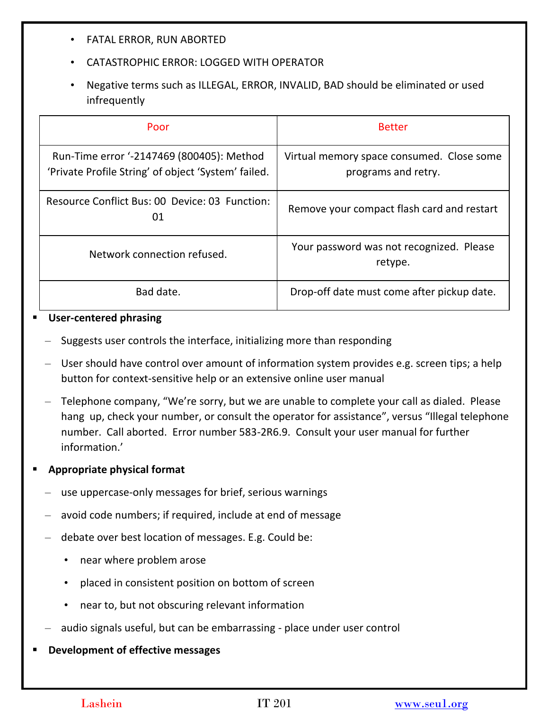- FATAL ERROR, RUN ABORTED
- CATASTROPHIC ERROR: LOGGED WITH OPERATOR
- Negative terms such as ILLEGAL, ERROR, INVALID, BAD should be eliminated or used infrequently

| Poor                                                                                             | <b>Better</b>                                                    |
|--------------------------------------------------------------------------------------------------|------------------------------------------------------------------|
| Run-Time error '-2147469 (800405): Method<br>'Private Profile String' of object 'System' failed. | Virtual memory space consumed. Close some<br>programs and retry. |
| Resource Conflict Bus: 00 Device: 03 Function:<br>01                                             | Remove your compact flash card and restart                       |
| Network connection refused.                                                                      | Your password was not recognized. Please<br>retype.              |
| Bad date.                                                                                        | Drop-off date must come after pickup date.                       |

#### **User-centered phrasing**

- Suggests user controls the interface, initializing more than responding
- User should have control over amount of information system provides e.g. screen tips; a help button for context-sensitive help or an extensive online user manual
- Telephone company, "We're sorry, but we are unable to complete your call as dialed. Please hang up, check your number, or consult the operator for assistance", versus "Illegal telephone number. Call aborted. Error number 583-2R6.9. Consult your user manual for further information.'

### **Appropriate physical format**

- use uppercase-only messages for brief, serious warnings
- avoid code numbers; if required, include at end of message
- debate over best location of messages. E.g. Could be:
	- near where problem arose
	- placed in consistent position on bottom of screen
	- near to, but not obscuring relevant information
- audio signals useful, but can be embarrassing place under user control

#### **Development of effective messages**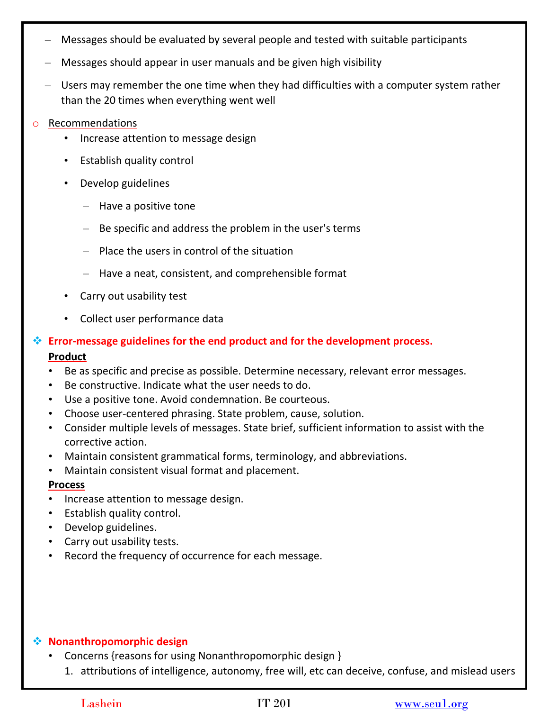- Messages should be evaluated by several people and tested with suitable participants
- Messages should appear in user manuals and be given high visibility
- Users may remember the one time when they had difficulties with a computer system rather than the 20 times when everything went well

#### o Recommendations

- Increase attention to message design
- Establish quality control
- Develop guidelines
	- Have a positive tone
	- Be specific and address the problem in the user's terms
	- Place the users in control of the situation
	- Have a neat, consistent, and comprehensible format
- Carry out usability test
- Collect user performance data
- **Error-message guidelines for the end product and for the development process. Product**
	- Be as specific and precise as possible. Determine necessary, relevant error messages.
	- Be constructive. Indicate what the user needs to do.
	- Use a positive tone. Avoid condemnation. Be courteous.
	- Choose user-centered phrasing. State problem, cause, solution.
	- Consider multiple levels of messages. State brief, sufficient information to assist with the corrective action.
	- Maintain consistent grammatical forms, terminology, and abbreviations.
	- Maintain consistent visual format and placement.

#### **Process**

- Increase attention to message design.
- Establish quality control.
- Develop guidelines.
- Carry out usability tests.
- Record the frequency of occurrence for each message.

#### **Nonanthropomorphic design**

- Concerns {reasons for using Nonanthropomorphic design }
	- 1. attributions of intelligence, autonomy, free will, etc can deceive, confuse, and mislead users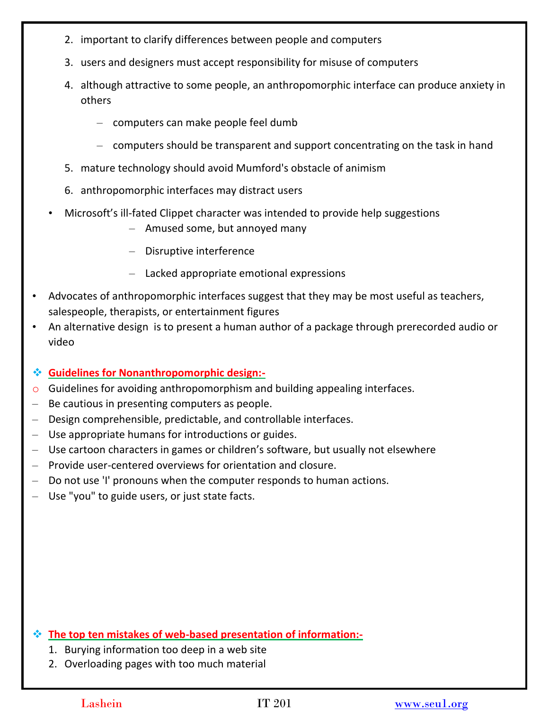- 2. important to clarify differences between people and computers
- 3. users and designers must accept responsibility for misuse of computers
- 4. although attractive to some people, an anthropomorphic interface can produce anxiety in others
	- computers can make people feel dumb
	- computers should be transparent and support concentrating on the task in hand
- 5. mature technology should avoid Mumford's obstacle of animism
- 6. anthropomorphic interfaces may distract users
- Microsoft's ill-fated Clippet character was intended to provide help suggestions
	- Amused some, but annoyed many
	- Disruptive interference
	- Lacked appropriate emotional expressions
- Advocates of anthropomorphic interfaces suggest that they may be most useful as teachers, salespeople, therapists, or entertainment figures
- An alternative design is to present a human author of a package through prerecorded audio or video

## **Guidelines for Nonanthropomorphic design:-**

- o Guidelines for avoiding anthropomorphism and building appealing interfaces.
- Be cautious in presenting computers as people.
- Design comprehensible, predictable, and controllable interfaces.
- Use appropriate humans for introductions or guides.
- Use cartoon characters in games or children's software, but usually not elsewhere
- Provide user-centered overviews for orientation and closure.
- Do not use 'I' pronouns when the computer responds to human actions.
- Use "you" to guide users, or just state facts.

**The top ten mistakes of web-based presentation of information:-**

- 1. Burying information too deep in a web site
- 2. Overloading pages with too much material